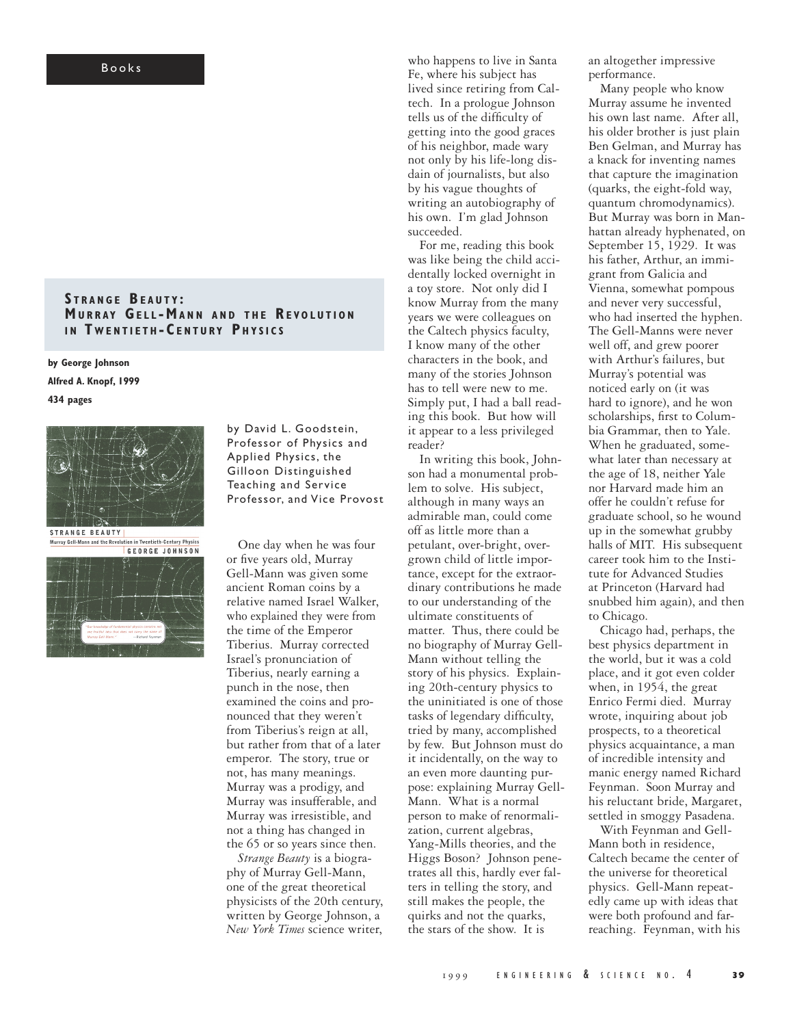## B o o k s

## **S T R A N G E BE A U T Y : MURRAY GELL-MANN AND THE REVOLUTION IN TWENTIETH-CENTURY PHYSICS**

**by George Johnson Alfred A. Knopf, 1999 434 pages**





by David L. Goodstein, Professor of Physics and Applied Physics, the Gilloon Distinguished Teaching and Service Professor, and Vice Provost

One day when he was four or five years old, Murray Gell-Mann was given some ancient Roman coins by a relative named Israel Walker, who explained they were from the time of the Emperor Tiberius. Murray corrected Israel's pronunciation of Tiberius, nearly earning a punch in the nose, then examined the coins and pronounced that they weren't from Tiberius's reign at all, but rather from that of a later emperor. The story, true or not, has many meanings. Murray was a prodigy, and Murray was insufferable, and Murray was irresistible, and not a thing has changed in the 65 or so years since then.

*Strange Beauty* is a biography of Murray Gell-Mann, one of the great theoretical physicists of the 20th century, written by George Johnson, a *New York Times* science writer,

who happens to live in Santa Fe, where his subject has lived since retiring from Caltech. In a prologue Johnson tells us of the difficulty of getting into the good graces of his neighbor, made wary not only by his life-long disdain of journalists, but also by his vague thoughts of writing an autobiography of his own. I'm glad Johnson succeeded.

For me, reading this book was like being the child accidentally locked overnight in a toy store. Not only did I know Murray from the many years we were colleagues on the Caltech physics faculty, I know many of the other characters in the book, and many of the stories Johnson has to tell were new to me. Simply put, I had a ball reading this book. But how will it appear to a less privileged reader?

In writing this book, Johnson had a monumental problem to solve. His subject, although in many ways an admirable man, could come off as little more than a petulant, over-bright, overgrown child of little importance, except for the extraordinary contributions he made to our understanding of the ultimate constituents of matter. Thus, there could be no biography of Murray Gell-Mann without telling the story of his physics. Explaining 20th-century physics to the uninitiated is one of those tasks of legendary difficulty, tried by many, accomplished by few. But Johnson must do it incidentally, on the way to an even more daunting purpose: explaining Murray Gell-Mann. What is a normal person to make of renormalization, current algebras, Yang-Mills theories, and the Higgs Boson? Johnson penetrates all this, hardly ever falters in telling the story, and still makes the people, the quirks and not the quarks, the stars of the show. It is

an altogether impressive performance.

Many people who know Murray assume he invented his own last name. After all, his older brother is just plain Ben Gelman, and Murray has a knack for inventing names that capture the imagination (quarks, the eight-fold way, quantum chromodynamics). But Murray was born in Manhattan already hyphenated, on September 15, 1929. It was his father, Arthur, an immigrant from Galicia and Vienna, somewhat pompous and never very successful, who had inserted the hyphen. The Gell-Manns were never well off, and grew poorer with Arthur's failures, but Murray's potential was noticed early on (it was hard to ignore), and he won scholarships, first to Columbia Grammar, then to Yale. When he graduated, somewhat later than necessary at the age of 18, neither Yale nor Harvard made him an offer he couldn't refuse for graduate school, so he wound up in the somewhat grubby halls of MIT. His subsequent career took him to the Institute for Advanced Studies at Princeton (Harvard had snubbed him again), and then to Chicago.

Chicago had, perhaps, the best physics department in the world, but it was a cold place, and it got even colder when, in 1954, the great Enrico Fermi died. Murray wrote, inquiring about job prospects, to a theoretical physics acquaintance, a man of incredible intensity and manic energy named Richard Feynman. Soon Murray and his reluctant bride, Margaret, settled in smoggy Pasadena.

With Feynman and Gell-Mann both in residence, Caltech became the center of the universe for theoretical physics. Gell-Mann repeatedly came up with ideas that were both profound and farreaching. Feynman, with his